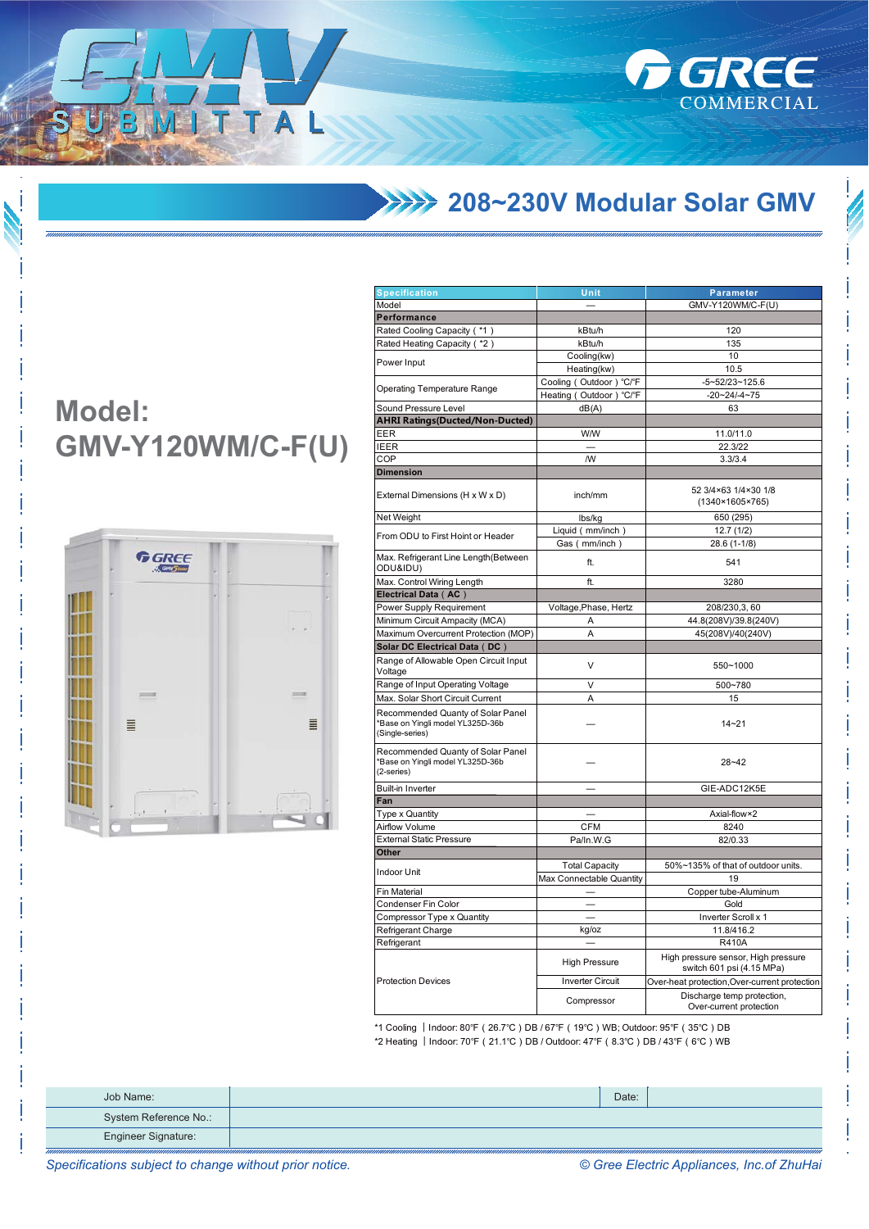

**FIGREE** 

COMMERCIAL

## **Model:** GMV-Y120WM/C-F(U)

ITTAL



| <b>Specification</b>                                                                   | Unit                     | <b>Parameter</b>                                                 |
|----------------------------------------------------------------------------------------|--------------------------|------------------------------------------------------------------|
| Model                                                                                  |                          | GMV-Y120WM/C-F(U)                                                |
| Performance                                                                            |                          |                                                                  |
| Rated Cooling Capacity (*1)                                                            | kBtu/h                   | 120                                                              |
| Rated Heating Capacity (*2)                                                            | kBtu/h                   | 135                                                              |
|                                                                                        | Cooling(kw)              | 10                                                               |
| ower Input                                                                             | Heating(kw)              | 10.5                                                             |
|                                                                                        | Cooling (Outdoor) °C/°F  | $-5 - 52/23 - 125.6$                                             |
| Operating Temperature Range                                                            | Heating (Outdoor) °C/°F  | $-20 - 24 - 4 - 75$                                              |
| Sound Pressure Level                                                                   | dB(A)                    | 63                                                               |
| <b>AHRI Ratings(Ducted/Non-Ducted)</b>                                                 |                          |                                                                  |
| EER                                                                                    | W/W                      | 11.0/11.0                                                        |
| EER                                                                                    |                          | 22.3/22                                                          |
| COP                                                                                    | /W                       | 3.3/3.4                                                          |
|                                                                                        |                          |                                                                  |
| <b>Dimension</b>                                                                       |                          |                                                                  |
| External Dimensions (H x W x D)                                                        | inch/mm                  | 52 3/4×63 1/4×30 1/8<br>(1340×1605×765)                          |
| <b>Net Weight</b>                                                                      | lbs/kg                   | 650 (295)                                                        |
|                                                                                        | Liquid (mm/inch)         | 12.7(1/2)                                                        |
| From ODU to First Hoint or Header                                                      | Gas (mm/inch)            | 28.6 (1-1/8)                                                     |
| Max. Refrigerant Line Length(Between<br>ODU&IDU)                                       | ft.                      | 541                                                              |
| Vlax. Control Wiring Length                                                            | ft.                      | 3280                                                             |
| Electrical Data (AC)                                                                   |                          |                                                                  |
| Power Supply Requirement                                                               | Voltage, Phase, Hertz    | 208/230,3,60                                                     |
| Minimum Circuit Ampacity (MCA)                                                         | А                        | 44.8(208V)/39.8(240V)                                            |
| Maximum Overcurrent Protection (MOP)                                                   | A                        | 45(208V)/40(240V)                                                |
| Solar DC Electrical Data(DC)                                                           |                          |                                                                  |
| Range of Allowable Open Circuit Input<br>/oltage                                       | V                        | 550~1000                                                         |
| Range of Input Operating Voltage                                                       | V                        | 500~780                                                          |
| Max. Solar Short Circuit Current                                                       | Α                        | 15                                                               |
| Recommended Quanty of Solar Panel<br>Base on Yingli model YL325D-36b<br>Single-series) |                          | $14 - 21$                                                        |
| Recommended Quanty of Solar Panel<br>Base on Yingli model YL325D-36b<br>2-series)      |                          | 28~42                                                            |
| Built-in Inverter                                                                      |                          | GIE-ADC12K5E                                                     |
| an-                                                                                    |                          |                                                                  |
| <b>Type x Quantity</b>                                                                 |                          | Axial-flow×2                                                     |
| Airflow Volume                                                                         | <b>CFM</b>               | 8240                                                             |
| <b>External Static Pressure</b>                                                        | Pa/In.W.G                | 82/0.33                                                          |
| <b>Other</b>                                                                           |                          |                                                                  |
|                                                                                        | <b>Total Capacity</b>    | 50%~135% of that of outdoor units.                               |
| ndoor Unit                                                                             | Max Connectable Quantity | 19                                                               |
| Fin Material                                                                           |                          | Copper tube-Aluminum                                             |
| Condenser Fin Color                                                                    |                          | Gold                                                             |
| Compressor Type x Quantity                                                             |                          | Inverter Scroll x 1                                              |
| Refrigerant Charge                                                                     | kg/oz                    | 11.8/416.2                                                       |
| Refrigerant                                                                            |                          | R410A                                                            |
|                                                                                        | <b>High Pressure</b>     | High pressure sensor, High pressure<br>switch 601 psi (4.15 MPa) |
| Protection Devices                                                                     | <b>Inverter Circuit</b>  | Over-heat protection, Over-current protection                    |
|                                                                                        | Compressor               | Discharge temp protection,<br>Over-current protection            |
|                                                                                        |                          |                                                                  |

\*1 Cooling | Indoor: 80°F (26.7°C) DB / 67°F (19°C) WB; Outdoor: 95°F (35°C) DB \*2 Heating | Indoor: 70°F (21.1°C) DB / Outdoor: 47°F (8.3°C) DB / 43°F (6°C) WB

| Job Name:                  | Date: |  |
|----------------------------|-------|--|
| System Reference No.:      |       |  |
| <b>Engineer Signature:</b> |       |  |

© Gree Electric Appliances, Inc.of ZhuHai